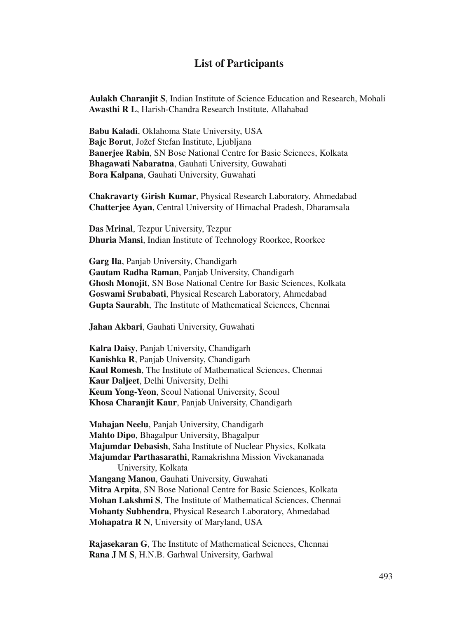## **List of Participants**

**Aulakh Charanjit S**, Indian Institute of Science Education and Research, Mohali **Awasthi R L**, Harish-Chandra Research Institute, Allahabad

**Babu Kaladi**, Oklahoma State University, USA **Bajc Borut**, Jožef Stefan Institute, Ljubljana **Banerjee Rabin**, SN Bose National Centre for Basic Sciences, Kolkata **Bhagawati Nabaratna**, Gauhati University, Guwahati **Bora Kalpana**, Gauhati University, Guwahati

**Chakravarty Girish Kumar**, Physical Research Laboratory, Ahmedabad **Chatterjee Ayan**, Central University of Himachal Pradesh, Dharamsala

**Das Mrinal**, Tezpur University, Tezpur **Dhuria Mansi**, Indian Institute of Technology Roorkee, Roorkee

**Garg Ila**, Panjab University, Chandigarh **Gautam Radha Raman**, Panjab University, Chandigarh **Ghosh Monojit**, SN Bose National Centre for Basic Sciences, Kolkata **Goswami Srubabati**, Physical Research Laboratory, Ahmedabad **Gupta Saurabh**, The Institute of Mathematical Sciences, Chennai

**Jahan Akbari**, Gauhati University, Guwahati

**Kalra Daisy**, Panjab University, Chandigarh **Kanishka R**, Panjab University, Chandigarh **Kaul Romesh**, The Institute of Mathematical Sciences, Chennai **Kaur Daljeet**, Delhi University, Delhi **Keum Yong-Yeon**, Seoul National University, Seoul **Khosa Charanjit Kaur**, Panjab University, Chandigarh

**Mahajan Neelu**, Panjab University, Chandigarh **Mahto Dipo**, Bhagalpur University, Bhagalpur **Majumdar Debasish**, Saha Institute of Nuclear Physics, Kolkata **Majumdar Parthasarathi**, Ramakrishna Mission Vivekananada University, Kolkata **Mangang Manou**, Gauhati University, Guwahati **Mitra Arpita**, SN Bose National Centre for Basic Sciences, Kolkata **Mohan Lakshmi S**, The Institute of Mathematical Sciences, Chennai **Mohanty Subhendra**, Physical Research Laboratory, Ahmedabad **Mohapatra R N**, University of Maryland, USA

**Rajasekaran G**, The Institute of Mathematical Sciences, Chennai **Rana J M S**, H.N.B. Garhwal University, Garhwal